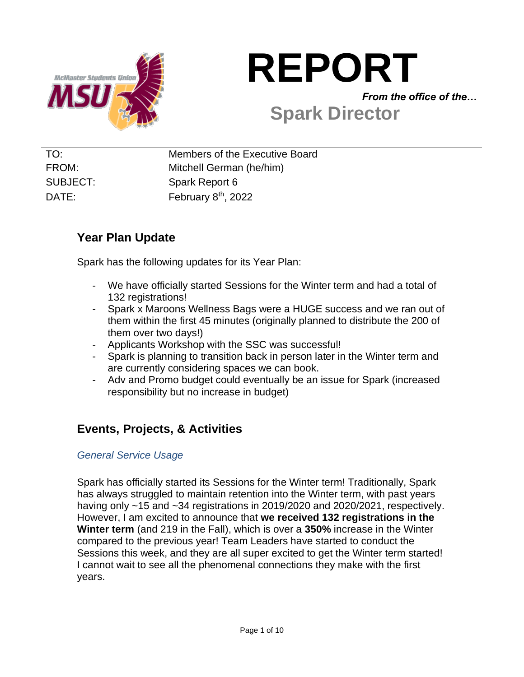

# **REPORT**

*From the office of the…*

# **Spark Director**

| TO:      | Members of the Executive Board |
|----------|--------------------------------|
| FROM:    | Mitchell German (he/him)       |
| SUBJECT: | Spark Report 6                 |
| DATE:    | February $8th$ , 2022          |

# **Year Plan Update**

Spark has the following updates for its Year Plan:

- We have officially started Sessions for the Winter term and had a total of 132 registrations!
- Spark x Maroons Wellness Bags were a HUGE success and we ran out of them within the first 45 minutes (originally planned to distribute the 200 of them over two days!)
- Applicants Workshop with the SSC was successful!
- Spark is planning to transition back in person later in the Winter term and are currently considering spaces we can book.
- Adv and Promo budget could eventually be an issue for Spark (increased responsibility but no increase in budget)

# **Events, Projects, & Activities**

#### *General Service Usage*

Spark has officially started its Sessions for the Winter term! Traditionally, Spark has always struggled to maintain retention into the Winter term, with past years having only ~15 and ~34 registrations in 2019/2020 and 2020/2021, respectively. However, I am excited to announce that **we received 132 registrations in the Winter term** (and 219 in the Fall), which is over a **350%** increase in the Winter compared to the previous year! Team Leaders have started to conduct the Sessions this week, and they are all super excited to get the Winter term started! I cannot wait to see all the phenomenal connections they make with the first years.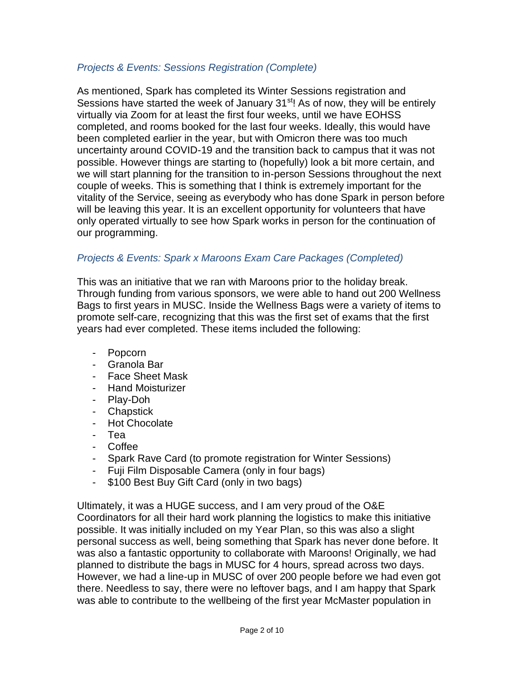#### *Projects & Events: Sessions Registration (Complete)*

As mentioned, Spark has completed its Winter Sessions registration and Sessions have started the week of January 31<sup>st</sup>! As of now, they will be entirely virtually via Zoom for at least the first four weeks, until we have EOHSS completed, and rooms booked for the last four weeks. Ideally, this would have been completed earlier in the year, but with Omicron there was too much uncertainty around COVID-19 and the transition back to campus that it was not possible. However things are starting to (hopefully) look a bit more certain, and we will start planning for the transition to in-person Sessions throughout the next couple of weeks. This is something that I think is extremely important for the vitality of the Service, seeing as everybody who has done Spark in person before will be leaving this year. It is an excellent opportunity for volunteers that have only operated virtually to see how Spark works in person for the continuation of our programming.

#### *Projects & Events: Spark x Maroons Exam Care Packages (Completed)*

This was an initiative that we ran with Maroons prior to the holiday break. Through funding from various sponsors, we were able to hand out 200 Wellness Bags to first years in MUSC. Inside the Wellness Bags were a variety of items to promote self-care, recognizing that this was the first set of exams that the first years had ever completed. These items included the following:

- Popcorn
- Granola Bar
- Face Sheet Mask
- Hand Moisturizer
- Play-Doh
- Chapstick
- Hot Chocolate
- Tea
- Coffee
- Spark Rave Card (to promote registration for Winter Sessions)
- Fuji Film Disposable Camera (only in four bags)
- \$100 Best Buy Gift Card (only in two bags)

Ultimately, it was a HUGE success, and I am very proud of the O&E Coordinators for all their hard work planning the logistics to make this initiative possible. It was initially included on my Year Plan, so this was also a slight personal success as well, being something that Spark has never done before. It was also a fantastic opportunity to collaborate with Maroons! Originally, we had planned to distribute the bags in MUSC for 4 hours, spread across two days. However, we had a line-up in MUSC of over 200 people before we had even got there. Needless to say, there were no leftover bags, and I am happy that Spark was able to contribute to the wellbeing of the first year McMaster population in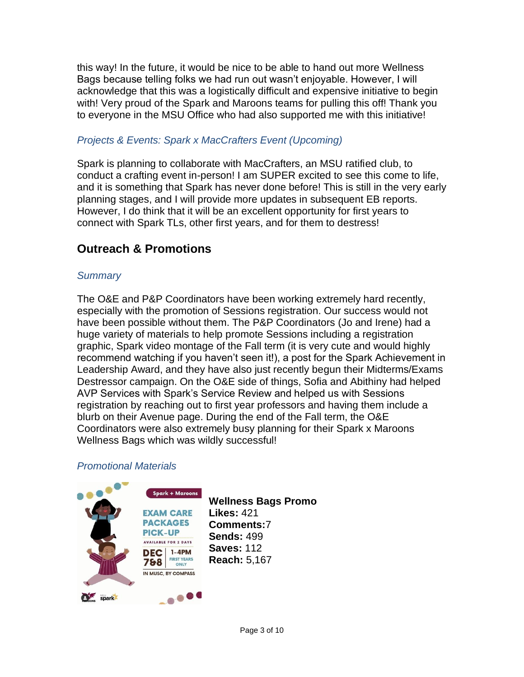this way! In the future, it would be nice to be able to hand out more Wellness Bags because telling folks we had run out wasn't enjoyable. However, I will acknowledge that this was a logistically difficult and expensive initiative to begin with! Very proud of the Spark and Maroons teams for pulling this off! Thank you to everyone in the MSU Office who had also supported me with this initiative!

#### *Projects & Events: Spark x MacCrafters Event (Upcoming)*

Spark is planning to collaborate with MacCrafters, an MSU ratified club, to conduct a crafting event in-person! I am SUPER excited to see this come to life, and it is something that Spark has never done before! This is still in the very early planning stages, and I will provide more updates in subsequent EB reports. However, I do think that it will be an excellent opportunity for first years to connect with Spark TLs, other first years, and for them to destress!

# **Outreach & Promotions**

#### *Summary*

The O&E and P&P Coordinators have been working extremely hard recently, especially with the promotion of Sessions registration. Our success would not have been possible without them. The P&P Coordinators (Jo and Irene) had a huge variety of materials to help promote Sessions including a registration graphic, Spark video montage of the Fall term (it is very cute and would highly recommend watching if you haven't seen it!), a post for the Spark Achievement in Leadership Award, and they have also just recently begun their Midterms/Exams Destressor campaign. On the O&E side of things, Sofia and Abithiny had helped AVP Services with Spark's Service Review and helped us with Sessions registration by reaching out to first year professors and having them include a blurb on their Avenue page. During the end of the Fall term, the O&E Coordinators were also extremely busy planning for their Spark x Maroons Wellness Bags which was wildly successful!

#### *Promotional Materials*

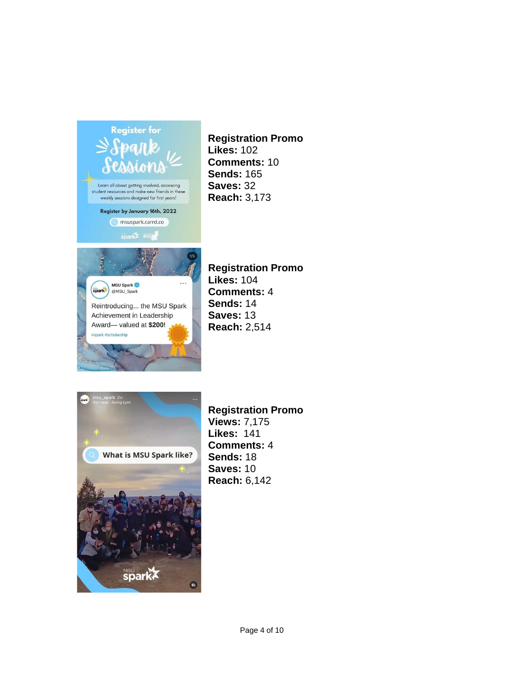

Award-valued at \$200!

#spark #scholarship

**Registration Promo Likes:** 102 **Comments:** 10 **Sends:** 165 **Saves:** 32 **Reach:** 3,173

**Registration Promo Likes:** 104 **Comments:** 4 **Sends:** 14 **Saves:** 13 **Reach:** 2,514



**Registration Promo Views:** 7,175 **Likes:** 141 **Comments:** 4 **Sends:** 18 **Saves:** 10 **Reach:** 6,142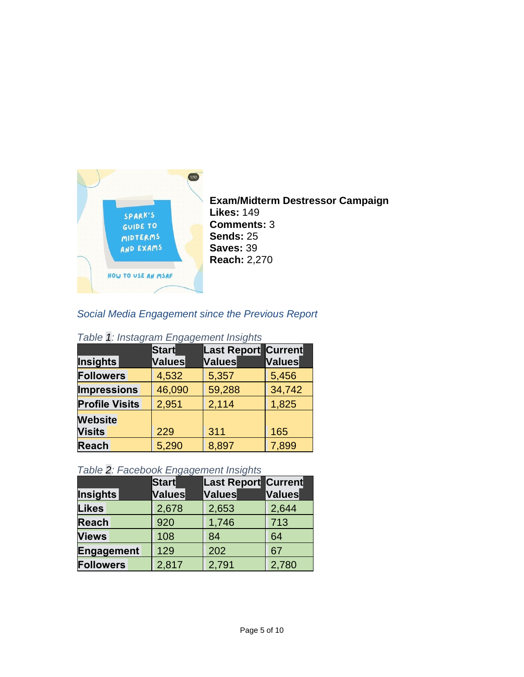

**Exam/Midterm Destressor Campaign Likes:** 149 **Comments:** 3 **Sends:** 25 **Saves:** 39 **Reach:** 2,270

#### *Social Media Engagement since the Previous Report*

| <u>rabio 1. moldyram Engagomont molgno</u> |              |                            |               |  |  |  |  |
|--------------------------------------------|--------------|----------------------------|---------------|--|--|--|--|
|                                            | <b>Start</b> | <b>Last Report Current</b> |               |  |  |  |  |
| <b>Insights</b>                            | Values       | <b>Values</b>              | <b>Values</b> |  |  |  |  |
| <b>Followers</b>                           | 4,532        | 5,357                      | 5,456         |  |  |  |  |
| <b>Impressions</b>                         | 46,090       | 59,288                     | 34,742        |  |  |  |  |
| <b>Profile Visits</b>                      | 2,951        | 2,114                      | 1,825         |  |  |  |  |
| <b>Website</b>                             |              |                            |               |  |  |  |  |
| <b>Visits</b>                              | 229          | 311                        | 165           |  |  |  |  |
| <b>Reach</b>                               | 5,290        | 8,897                      | 7,899         |  |  |  |  |

#### *Table 1: Instagram Engagement Insights*

#### *Table 2: Facebook Engagement Insights*

| ---              |               |                            |        |  |  |  |  |
|------------------|---------------|----------------------------|--------|--|--|--|--|
|                  | <b>Start</b>  | <b>Last Report Current</b> |        |  |  |  |  |
| Insights         | <b>Values</b> | Values                     | Values |  |  |  |  |
| <b>Likes</b>     | 2,678         | 2,653                      | 2,644  |  |  |  |  |
| <b>Reach</b>     | 920           | 1,746                      | 713    |  |  |  |  |
| <b>Views</b>     | 108           | 84                         | 64     |  |  |  |  |
| Engagement       | 129           | 202                        | 67     |  |  |  |  |
| <b>Followers</b> | 2,817         | 2,791                      | 2,780  |  |  |  |  |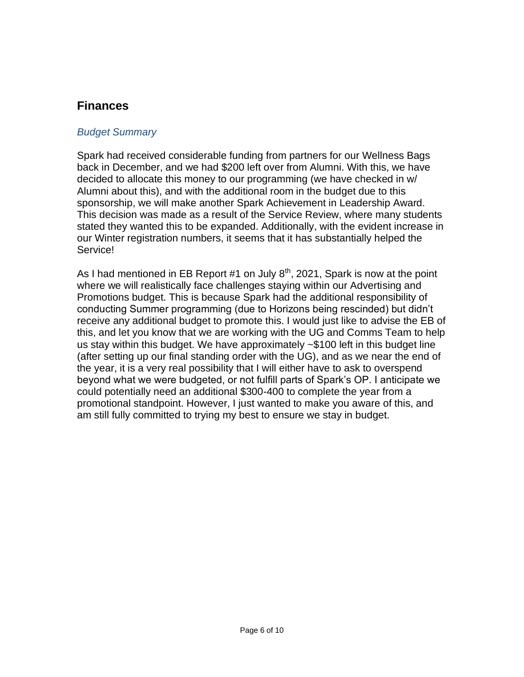## **Finances**

#### *Budget Summary*

Spark had received considerable funding from partners for our Wellness Bags back in December, and we had \$200 left over from Alumni. With this, we have decided to allocate this money to our programming (we have checked in w/ Alumni about this), and with the additional room in the budget due to this sponsorship, we will make another Spark Achievement in Leadership Award. This decision was made as a result of the Service Review, where many students stated they wanted this to be expanded. Additionally, with the evident increase in our Winter registration numbers, it seems that it has substantially helped the Service!

As I had mentioned in EB Report #1 on July  $8<sup>th</sup>$ , 2021, Spark is now at the point where we will realistically face challenges staying within our Advertising and Promotions budget. This is because Spark had the additional responsibility of conducting Summer programming (due to Horizons being rescinded) but didn't receive any additional budget to promote this. I would just like to advise the EB of this, and let you know that we are working with the UG and Comms Team to help us stay within this budget. We have approximately ~\$100 left in this budget line (after setting up our final standing order with the UG), and as we near the end of the year, it is a very real possibility that I will either have to ask to overspend beyond what we were budgeted, or not fulfill parts of Spark's OP. I anticipate we could potentially need an additional \$300-400 to complete the year from a promotional standpoint. However, I just wanted to make you aware of this, and am still fully committed to trying my best to ensure we stay in budget.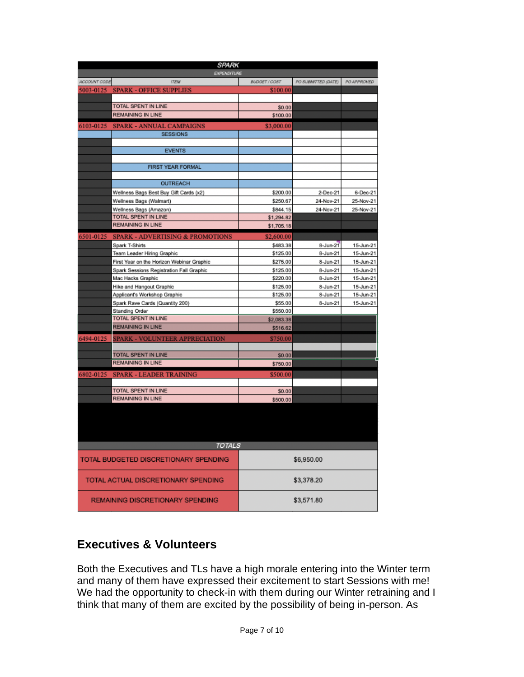| SPARK                               |                                            |               |                     |             |  |  |  |
|-------------------------------------|--------------------------------------------|---------------|---------------------|-------------|--|--|--|
|                                     | EXPENDITURE                                |               |                     |             |  |  |  |
| ACCOUNT CODE                        | <b>ITEM</b>                                | BUDGET / COST | PO SUBMITTED (DATE) | PO APPROVED |  |  |  |
| 5003-0125                           | <b>SPARK - OFFICE SUPPLIES</b>             | \$100.00      |                     |             |  |  |  |
|                                     | TOTAL SPENT IN LINE                        |               |                     |             |  |  |  |
|                                     |                                            | \$0.00        |                     |             |  |  |  |
|                                     | <b>REMAINING IN LINE</b>                   | \$100.00      |                     |             |  |  |  |
| 6103-0125                           | <b>SPARK - ANNUAL CAMPAIGNS</b>            | \$3,000.00    |                     |             |  |  |  |
|                                     | <b>SESSIONS</b>                            |               |                     |             |  |  |  |
|                                     |                                            |               |                     |             |  |  |  |
|                                     | <b>EVENTS</b>                              |               |                     |             |  |  |  |
|                                     |                                            |               |                     |             |  |  |  |
|                                     | FIRST YEAR FORMAL                          |               |                     |             |  |  |  |
|                                     |                                            |               |                     |             |  |  |  |
|                                     | <b>OUTREACH</b>                            |               |                     |             |  |  |  |
|                                     | Wellness Bags Best Buy Gift Cards (x2)     | \$200.00      | 2-Dec-21            | 6-Dec-21    |  |  |  |
|                                     | Wellness Bags (Walmart)                    | \$250.67      | 24-Nov-21           | 25-Nov-21   |  |  |  |
|                                     | Wellness Bags (Amazon)                     | \$844.15      | 24-Nov-21           | 25-Nov-21   |  |  |  |
|                                     | TOTAL SPENT IN LINE                        | \$1,294.82    |                     |             |  |  |  |
|                                     | <b>REMAINING IN LINE</b>                   | \$1,705.18    |                     |             |  |  |  |
|                                     | 6501-0125 SPARK - ADVERTISING & PROMOTIONS | \$2,600.00    |                     |             |  |  |  |
|                                     | Spark T-Shirts                             | \$483.38      | 8-Jun-21            | 15-Jun-21   |  |  |  |
|                                     | Team Leader Hiring Graphic                 | \$125.00      | 8-Jun-21            | 15-Jun-21   |  |  |  |
|                                     | First Year on the Horizon Webinar Graphic  | \$275.00      | 8-Jun-21            | 15-Jun-21   |  |  |  |
|                                     | Spark Sessions Registration Fall Graphic   | \$125.00      | 8-Jun-21            | 15-Jun-21   |  |  |  |
|                                     | Mac Hacks Graphic                          | \$220.00      | 8-Jun-21            | 15-Jun-21   |  |  |  |
|                                     | Hike and Hangout Graphic                   | \$125.00      | 8-Jun-21            | 15-Jun-21   |  |  |  |
|                                     | Applicant's Workshop Graphic               | \$125.00      | 8-Jun-21            | 15-Jun-21   |  |  |  |
|                                     | Spark Rave Cards (Quantity 200)            | \$55.00       | 8-Jun-21            | 15-Jun-21   |  |  |  |
|                                     | Standing Order                             | \$550.00      |                     |             |  |  |  |
|                                     | TOTAL SPENT IN LINE                        | \$2,083.38    |                     |             |  |  |  |
|                                     | <b>REMAINING IN LINE</b>                   | \$516.62      |                     |             |  |  |  |
| 6494-0125                           | SPARK - VOLUNTEER APPRECIATION             | \$750.00      |                     |             |  |  |  |
|                                     |                                            |               |                     |             |  |  |  |
|                                     | TOTAL SPENT IN LINE                        | \$0.00        |                     |             |  |  |  |
|                                     | <b>REMAINING IN LINE</b>                   | \$750.00      |                     |             |  |  |  |
|                                     |                                            |               |                     |             |  |  |  |
| 6802-0125                           | <b>SPARK - LEADER TRAINING</b>             | \$500.00      |                     |             |  |  |  |
|                                     |                                            |               |                     |             |  |  |  |
|                                     | TOTAL SPENT IN LINE                        | \$0.00        |                     |             |  |  |  |
|                                     | <b>REMAINING IN LINE</b>                   | \$500.00      |                     |             |  |  |  |
|                                     |                                            |               |                     |             |  |  |  |
|                                     |                                            |               |                     |             |  |  |  |
|                                     |                                            |               |                     |             |  |  |  |
|                                     |                                            |               |                     |             |  |  |  |
|                                     | <b>TOTALS</b>                              |               |                     |             |  |  |  |
|                                     |                                            |               |                     |             |  |  |  |
|                                     | TOTAL BUDGETED DISCRETIONARY SPENDING      |               | \$6,950.00          |             |  |  |  |
|                                     |                                            |               |                     |             |  |  |  |
|                                     |                                            |               |                     |             |  |  |  |
| TOTAL ACTUAL DISCRETIONARY SPENDING |                                            |               | \$3,378.20          |             |  |  |  |
|                                     |                                            |               |                     |             |  |  |  |
| REMAINING DISCRETIONARY SPENDING    |                                            |               | \$3,571.80          |             |  |  |  |
|                                     |                                            |               |                     |             |  |  |  |

# **Executives & Volunteers**

Both the Executives and TLs have a high morale entering into the Winter term and many of them have expressed their excitement to start Sessions with me! We had the opportunity to check-in with them during our Winter retraining and I think that many of them are excited by the possibility of being in-person. As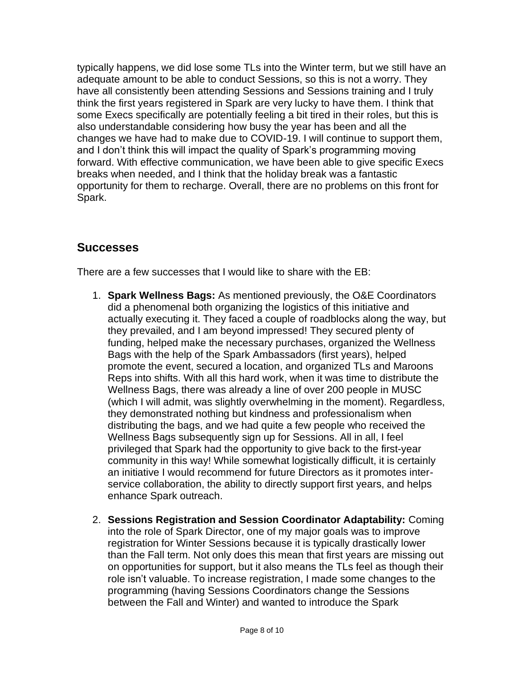typically happens, we did lose some TLs into the Winter term, but we still have an adequate amount to be able to conduct Sessions, so this is not a worry. They have all consistently been attending Sessions and Sessions training and I truly think the first years registered in Spark are very lucky to have them. I think that some Execs specifically are potentially feeling a bit tired in their roles, but this is also understandable considering how busy the year has been and all the changes we have had to make due to COVID-19. I will continue to support them, and I don't think this will impact the quality of Spark's programming moving forward. With effective communication, we have been able to give specific Execs breaks when needed, and I think that the holiday break was a fantastic opportunity for them to recharge. Overall, there are no problems on this front for Spark.

## **Successes**

There are a few successes that I would like to share with the EB:

- 1. **Spark Wellness Bags:** As mentioned previously, the O&E Coordinators did a phenomenal both organizing the logistics of this initiative and actually executing it. They faced a couple of roadblocks along the way, but they prevailed, and I am beyond impressed! They secured plenty of funding, helped make the necessary purchases, organized the Wellness Bags with the help of the Spark Ambassadors (first years), helped promote the event, secured a location, and organized TLs and Maroons Reps into shifts. With all this hard work, when it was time to distribute the Wellness Bags, there was already a line of over 200 people in MUSC (which I will admit, was slightly overwhelming in the moment). Regardless, they demonstrated nothing but kindness and professionalism when distributing the bags, and we had quite a few people who received the Wellness Bags subsequently sign up for Sessions. All in all, I feel privileged that Spark had the opportunity to give back to the first-year community in this way! While somewhat logistically difficult, it is certainly an initiative I would recommend for future Directors as it promotes interservice collaboration, the ability to directly support first years, and helps enhance Spark outreach.
- 2. **Sessions Registration and Session Coordinator Adaptability:** Coming into the role of Spark Director, one of my major goals was to improve registration for Winter Sessions because it is typically drastically lower than the Fall term. Not only does this mean that first years are missing out on opportunities for support, but it also means the TLs feel as though their role isn't valuable. To increase registration, I made some changes to the programming (having Sessions Coordinators change the Sessions between the Fall and Winter) and wanted to introduce the Spark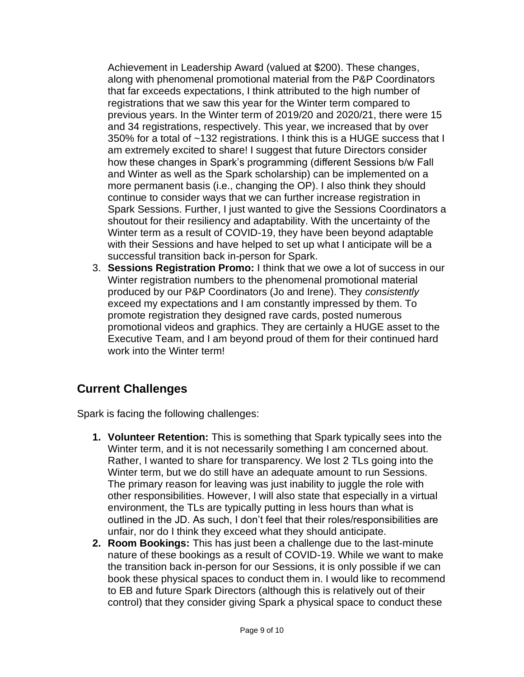Achievement in Leadership Award (valued at \$200). These changes, along with phenomenal promotional material from the P&P Coordinators that far exceeds expectations, I think attributed to the high number of registrations that we saw this year for the Winter term compared to previous years. In the Winter term of 2019/20 and 2020/21, there were 15 and 34 registrations, respectively. This year, we increased that by over 350% for a total of ~132 registrations. I think this is a HUGE success that I am extremely excited to share! I suggest that future Directors consider how these changes in Spark's programming (different Sessions b/w Fall and Winter as well as the Spark scholarship) can be implemented on a more permanent basis (i.e., changing the OP). I also think they should continue to consider ways that we can further increase registration in Spark Sessions. Further, I just wanted to give the Sessions Coordinators a shoutout for their resiliency and adaptability. With the uncertainty of the Winter term as a result of COVID-19, they have been beyond adaptable with their Sessions and have helped to set up what I anticipate will be a successful transition back in-person for Spark.

3. **Sessions Registration Promo:** I think that we owe a lot of success in our Winter registration numbers to the phenomenal promotional material produced by our P&P Coordinators (Jo and Irene). They *consistently*  exceed my expectations and I am constantly impressed by them. To promote registration they designed rave cards, posted numerous promotional videos and graphics. They are certainly a HUGE asset to the Executive Team, and I am beyond proud of them for their continued hard work into the Winter term!

# **Current Challenges**

Spark is facing the following challenges:

- **1. Volunteer Retention:** This is something that Spark typically sees into the Winter term, and it is not necessarily something I am concerned about. Rather, I wanted to share for transparency. We lost 2 TLs going into the Winter term, but we do still have an adequate amount to run Sessions. The primary reason for leaving was just inability to juggle the role with other responsibilities. However, I will also state that especially in a virtual environment, the TLs are typically putting in less hours than what is outlined in the JD. As such, I don't feel that their roles/responsibilities are unfair, nor do I think they exceed what they should anticipate.
- **2. Room Bookings:** This has just been a challenge due to the last-minute nature of these bookings as a result of COVID-19. While we want to make the transition back in-person for our Sessions, it is only possible if we can book these physical spaces to conduct them in. I would like to recommend to EB and future Spark Directors (although this is relatively out of their control) that they consider giving Spark a physical space to conduct these